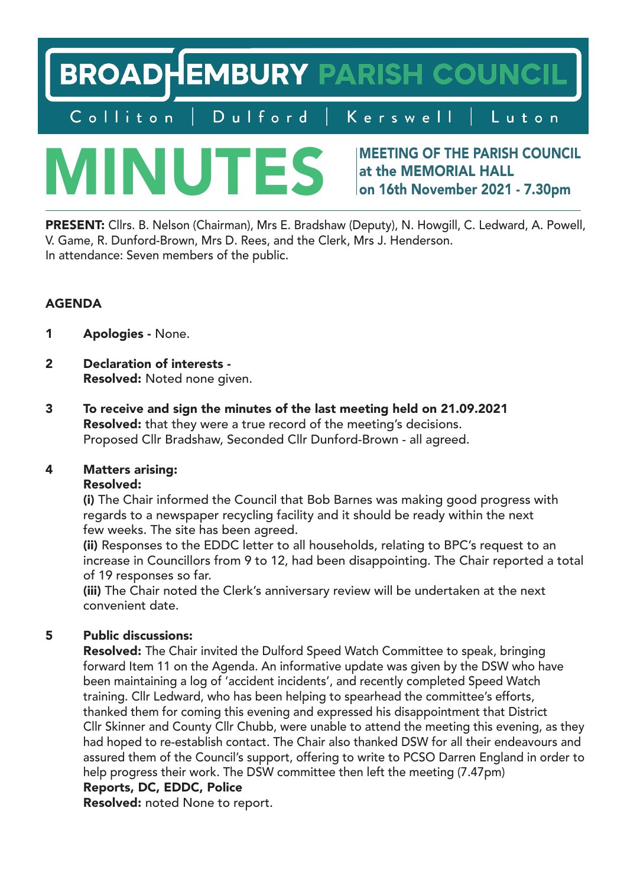

PRESENT: Cllrs. B. Nelson (Chairman), Mrs E. Bradshaw (Deputy), N. Howgill, C. Ledward, A. Powell, V. Game, R. Dunford-Brown, Mrs D. Rees, and the Clerk, Mrs J. Henderson. In attendance: Seven members of the public.

on 16th November 2021 - 7.30pm

## AGENDA

- 1 **Apologies None.**
- 2 Declaration of interests Resolved: Noted none given.
- 3 To receive and sign the minutes of the last meeting held on 21.09.2021 Resolved: that they were a true record of the meeting's decisions. Proposed Cllr Bradshaw, Seconded Cllr Dunford-Brown - all agreed.

### 4 Matters arising:

### Resolved:

(i) The Chair informed the Council that Bob Barnes was making good progress with regards to a newspaper recycling facility and it should be ready within the next few weeks. The site has been agreed.

(ii) Responses to the EDDC letter to all households, relating to BPC's request to an increase in Councillors from 9 to 12, had been disappointing. The Chair reported a total of 19 responses so far.

(iii) The Chair noted the Clerk's anniversary review will be undertaken at the next convenient date.

## 5 Public discussions:

Resolved: The Chair invited the Dulford Speed Watch Committee to speak, bringing forward Item 11 on the Agenda. An informative update was given by the DSW who have been maintaining a log of 'accident incidents', and recently completed Speed Watch training. Cllr Ledward, who has been helping to spearhead the committee's efforts, thanked them for coming this evening and expressed his disappointment that District Cllr Skinner and County Cllr Chubb, were unable to attend the meeting this evening, as they had hoped to re-establish contact. The Chair also thanked DSW for all their endeavours and assured them of the Council's support, offering to write to PCSO Darren England in order to help progress their work. The DSW committee then left the meeting (7.47pm)

### Reports, DC, EDDC, Police

Resolved: noted None to report.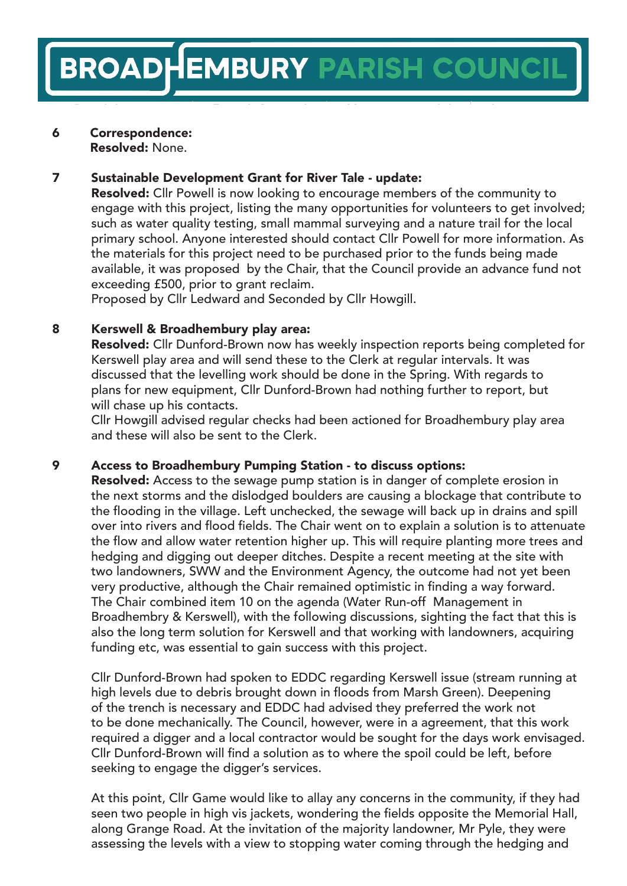**BROADHEMBURY PARISH COUNCIL** 

## 6 Correspondence:

Resolved: None.

### 7 Sustainable Development Grant for River Tale - update:

Resolved: Cllr Powell is now looking to encourage members of the community to engage with this project, listing the many opportunities for volunteers to get involved; such as water quality testing, small mammal surveying and a nature trail for the local primary school. Anyone interested should contact Cllr Powell for more information. As the materials for this project need to be purchased prior to the funds being made available, it was proposed by the Chair, that the Council provide an advance fund not exceeding £500, prior to grant reclaim.

Proposed by Cllr Ledward and Seconded by Cllr Howgill.

### 8 Kerswell & Broadhembury play area:

Resolved: Cllr Dunford-Brown now has weekly inspection reports being completed for Kerswell play area and will send these to the Clerk at regular intervals. It was discussed that the levelling work should be done in the Spring. With regards to plans for new equipment, Cllr Dunford-Brown had nothing further to report, but will chase up his contacts.

Cllr Howgill advised regular checks had been actioned for Broadhembury play area and these will also be sent to the Clerk.

### 9 Access to Broadhembury Pumping Station - to discuss options:

Resolved: Access to the sewage pump station is in danger of complete erosion in the next storms and the dislodged boulders are causing a blockage that contribute to the flooding in the village. Left unchecked, the sewage will back up in drains and spill over into rivers and flood fields. The Chair went on to explain a solution is to attenuate the flow and allow water retention higher up. This will require planting more trees and hedging and digging out deeper ditches. Despite a recent meeting at the site with two landowners, SWW and the Environment Agency, the outcome had not yet been very productive, although the Chair remained optimistic in finding a way forward. The Chair combined item 10 on the agenda (Water Run-off Management in Broadhembry & Kerswell), with the following discussions, sighting the fact that this is also the long term solution for Kerswell and that working with landowners, acquiring funding etc, was essential to gain success with this project.

Cllr Dunford-Brown had spoken to EDDC regarding Kerswell issue (stream running at high levels due to debris brought down in floods from Marsh Green). Deepening of the trench is necessary and EDDC had advised they preferred the work not to be done mechanically. The Council, however, were in a agreement, that this work required a digger and a local contractor would be sought for the days work envisaged. Cllr Dunford-Brown will find a solution as to where the spoil could be left, before seeking to engage the digger's services.

At this point, Cllr Game would like to allay any concerns in the community, if they had seen two people in high vis jackets, wondering the fields opposite the Memorial Hall, along Grange Road. At the invitation of the majority landowner, Mr Pyle, they were assessing the levels with a view to stopping water coming through the hedging and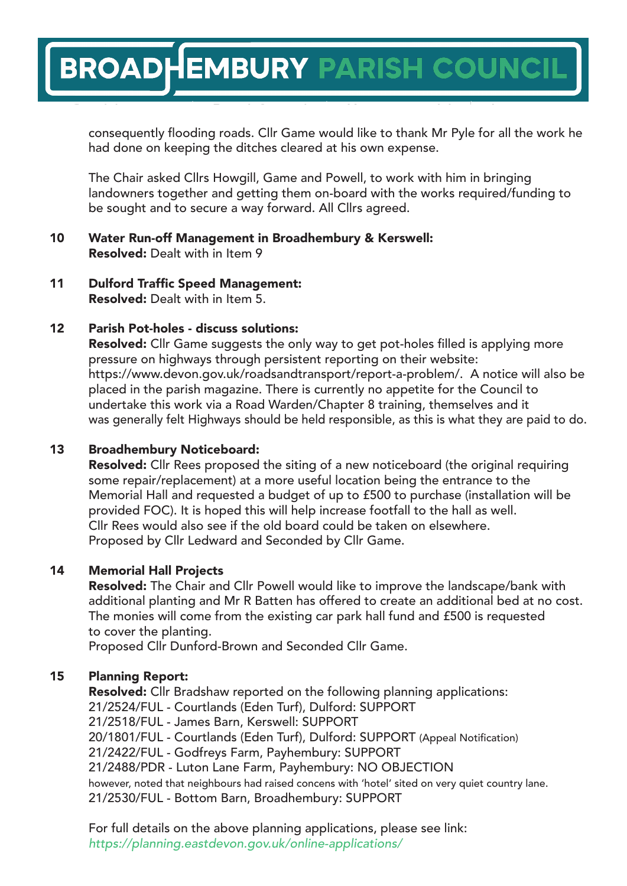**BROADHEMBURY PARISH COUNCIL** 

consequently flooding roads. Cllr Game would like to thank Mr Pyle for all the work he had done on keeping the ditches cleared at his own expense.

The Chair asked Cllrs Howgill, Game and Powell, to work with him in bringing landowners together and getting them on-board with the works required/funding to be sought and to secure a way forward. All Cllrs agreed.

- 10 Water Run-off Management in Broadhembury & Kerswell: Resolved: Dealt with in Item 9
- 11 Dulford Traffic Speed Management: Resolved: Dealt with in Item 5.
- 12 Parish Pot-holes discuss solutions:

Resolved: Cllr Game suggests the only way to get pot-holes filled is applying more pressure on highways through persistent reporting on their website: https://www.devon.gov.uk/roadsandtransport/report-a-problem/. A notice will also be placed in the parish magazine. There is currently no appetite for the Council to undertake this work via a Road Warden/Chapter 8 training, themselves and it was generally felt Highways should be held responsible, as this is what they are paid to do.

## 13 Broadhembury Noticeboard:

Resolved: Cllr Rees proposed the siting of a new noticeboard (the original requiring some repair/replacement) at a more useful location being the entrance to the Memorial Hall and requested a budget of up to £500 to purchase (installation will be provided FOC). It is hoped this will help increase footfall to the hall as well. Cllr Rees would also see if the old board could be taken on elsewhere. Proposed by Cllr Ledward and Seconded by Cllr Game.

## 14 Memorial Hall Projects

Resolved: The Chair and Cllr Powell would like to improve the landscape/bank with additional planting and Mr R Batten has offered to create an additional bed at no cost. The monies will come from the existing car park hall fund and £500 is requested to cover the planting.

Proposed Cllr Dunford-Brown and Seconded Cllr Game.

## 15 Planning Report:

Resolved: Cllr Bradshaw reported on the following planning applications: 21/2524/FUL - Courtlands (Eden Turf), Dulford: SUPPORT 21/2518/FUL - James Barn, Kerswell: SUPPORT 20/1801/FUL - Courtlands (Eden Turf), Dulford: SUPPORT (Appeal Notification) 21/2422/FUL - Godfreys Farm, Payhembury: SUPPORT 21/2488/PDR - Luton Lane Farm, Payhembury: NO OBJECTION however, noted that neighbours had raised concens with 'hotel' sited on very quiet country lane. 21/2530/FUL - Bottom Barn, Broadhembury: SUPPORT

For full details on the above planning applications, please see link: *https://planning.eastdevon.gov.uk/online-applications/*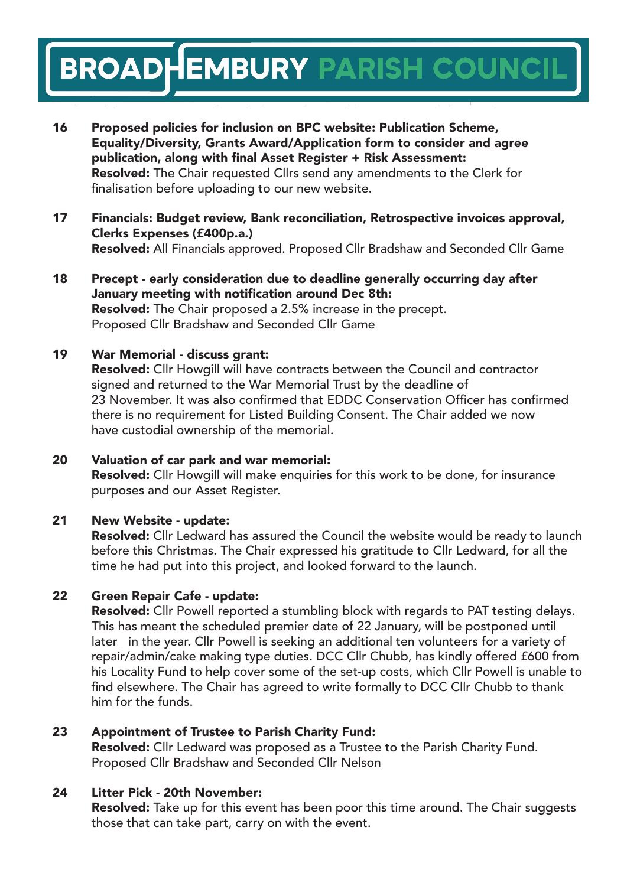# **BROADHEMBURY PARISH COUNCIL**

- 16 Proposed policies for inclusion on BPC website: Publication Scheme, Equality/Diversity, Grants Award/Application form to consider and agree publication, along with final Asset Register + Risk Assessment: Resolved: The Chair requested Cllrs send any amendments to the Clerk for finalisation before uploading to our new website.
- 17 Financials: Budget review, Bank reconciliation, Retrospective invoices approval, Clerks Expenses (£400p.a.) Resolved: All Financials approved. Proposed Cllr Bradshaw and Seconded Cllr Game
- 18 Precept early consideration due to deadline generally occurring day after January meeting with notification around Dec 8th: Resolved: The Chair proposed a 2.5% increase in the precept. Proposed Cllr Bradshaw and Seconded Cllr Game

## 19 War Memorial - discuss grant:

Resolved: Cllr Howgill will have contracts between the Council and contractor signed and returned to the War Memorial Trust by the deadline of 23 November. It was also confirmed that EDDC Conservation Officer has confirmed there is no requirement for Listed Building Consent. The Chair added we now have custodial ownership of the memorial.

## 20 Valuation of car park and war memorial:

Resolved: Cllr Howgill will make enquiries for this work to be done, for insurance purposes and our Asset Register.

## 21 New Website - update:

Resolved: Cllr Ledward has assured the Council the website would be ready to launch before this Christmas. The Chair expressed his gratitude to Cllr Ledward, for all the time he had put into this project, and looked forward to the launch.

## 22 Green Repair Cafe - update:

Resolved: Cllr Powell reported a stumbling block with regards to PAT testing delays. This has meant the scheduled premier date of 22 January, will be postponed until later in the year. Cllr Powell is seeking an additional ten volunteers for a variety of repair/admin/cake making type duties. DCC Cllr Chubb, has kindly offered £600 from his Locality Fund to help cover some of the set-up costs, which Cllr Powell is unable to find elsewhere. The Chair has agreed to write formally to DCC Cllr Chubb to thank him for the funds.

# 23 Appointment of Trustee to Parish Charity Fund:

Resolved: Cllr Ledward was proposed as a Trustee to the Parish Charity Fund. Proposed Cllr Bradshaw and Seconded Cllr Nelson

# 24 Litter Pick - 20th November:

Resolved: Take up for this event has been poor this time around. The Chair suggests those that can take part, carry on with the event.